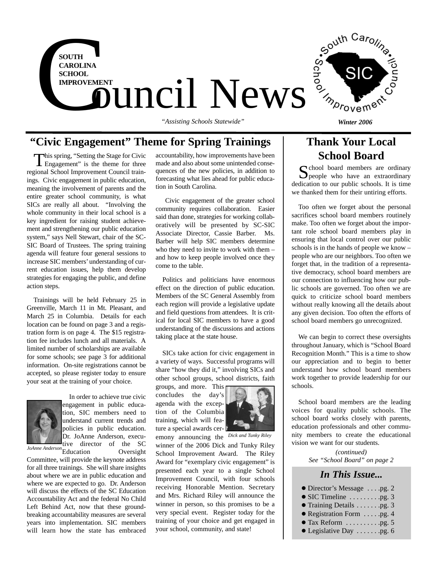

# **"Civic Engagement" Theme for Spring Trainings**

This spring, "Setting the Stage for Civic **L** Engagement" is the theme for three regional School Improvement Council trainings. Civic engagement in public education, meaning the involvement of parents and the entire greater school community, is what SICs are really all about. "Involving the whole community in their local school is a key ingredient for raising student achievement and strengthening our public education system," says Nell Stewart, chair of the SC-SIC Board of Trustees. The spring training agenda will feature four general sessions to increase SIC members'understanding of current education issues, help them develop strategies for engaging the public, and define action steps.

Trainings will be held February 25 in Greenville, March 11 in Mt. Pleasant, and March 25 in Columbia. Details for each location can be found on page 3 and a registration form is on page 4. The \$15 registration fee includes lunch and all materials. A limited number of scholarships are available for some schools; see page 3 for additional information. On-site registrations cannot be accepted, so please register today to ensure your seat at the training of your choice.



In order to achieve true civic engagement in public education, SIC members need to understand current trends and policies in public education. Dr. JoAnne Anderson, executive director of the SC

Committee, will provide the keynote address for all three trainings. She will share insights about where we are in public education and where we are expected to go. Dr. Anderson will discuss the effects of the SC Education Accountability Act and the federal No Child Left Behind Act, now that these groundbreaking accountability measures are several years into implementation. SIC members will learn how the state has embraced

accountability, how improvements have been made and also about some unintended consequences of the new policies, in addition to forecasting what lies ahead for public education in South Carolina.

Civic engagement of the greater school community requires collaboration. Easier said than done, strategies for working collaboratively will be presented by SC-SIC Associate Director, Cassie Barber. Ms. Barber will help SIC members determine who they need to invite to work with them – and how to keep people involved once they come to the table.

Politics and politicians have enormous effect on the direction of public education. Members of the SC General Assembly from each region will provide a legislative update and field questions from attendees. It is critical for local SIC members to have a good understanding of the discussions and actions taking place at the state house.

SICs take action for civic engagement in a variety of ways. Successful programs will share "how they did it," involving SICs and other school groups, school districts, faith

groups, and more. This concludes the day's agenda with the exception of the Columbia training, which will feature a special awards cer-



emony announcing the *Dick and Tunky Riley*

Education Oversight *JoAnne Anderson (continued)* winner of the 2006 Dick and Tunky Riley School Improvement Award. The Riley Award for "exemplary civic engagement" is presented each year to a single School Improvement Council, with four schools receiving Honorable Mention. Secretary and Mrs. Richard Riley will announce the winner in person, so this promises to be a very special event. Register today for the training of your choice and get engaged in your school, community, and state!

# **Thank Your Local School Board**

School board members are ordinary<br>people who have an extraordinary dedication to our public schools. It is time we thanked them for their untiring efforts.

Too often we forget about the personal sacrifices school board members routinely make. Too often we forget about the important role school board members play in ensuring that local control over our public schools is in the hands of people we know – people who are our neighbors. Too often we forget that, in the tradition of a representative democracy, school board members are our connection to influencing how our public schools are governed. Too often we are quick to criticize school board members without really knowing all the details about any given decision. Too often the efforts of school board members go unrecognized.

We can begin to correct these oversights throughout January, which is "School Board Recognition Month." This is a time to show our appreciation and to begin to better understand how school board members work together to provide leadership for our schools.

School board members are the leading voices for quality public schools. The school board works closely with parents, education professionals and other community members to create the educational vision we want for our students.

*See "School Board" on page 2*

#### *In This Issue...*

- $\bullet$  Director's Message . . . .pg. 2  $\bullet$  SIC Timeline  $\dots \dots \dots \dots$  .pg. 3
- z Training Details . . . . . . .pg. 3
- $\bullet$  Registration Form . . . . . . . . . . . 4
- $\bullet$  Tax Reform  $\dots \dots \dots \dots \dots$
- $\bullet$  Legislative Day  $\dots \dots$  .pg. 6
-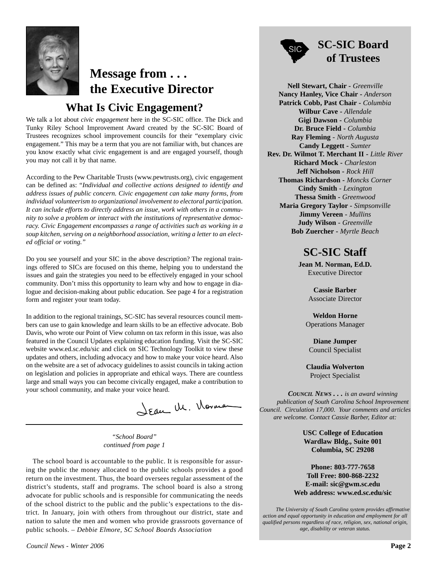

# **Message from . . . the Executive Director**

## **What Is Civic Engagement?**

We talk a lot about *civic engagement* here in the SC-SIC office. The Dick and Tunky Riley School Improvement Award created by the SC-SIC Board of Trustees recognizes school improvement councils for their "exemplary civic engagement." This may be a term that you are not familiar with, but chances are you know exactly what civic engagement is and are engaged yourself, though you may not call it by that name.

According to the Pew Charitable Trusts (www.pewtrusts.org), civic engagement can be defined as: "*Individual and collective actions designed to identify and address issues of public concern. Civic engagement can take many forms, from individual volunteerism to organizational involvement to electoral participation. It can include efforts to directly address an issue, work with others in a community to solve a problem or interact with the institutions of representative democracy. Civic Engagement encompasses a range of activities such as working in a soup kitchen, serving on a neighborhood association, writing a letter to an elected official or voting."*

Do you see yourself and your SIC in the above description? The regional trainings offered to SICs are focused on this theme, helping you to understand the issues and gain the strategies you need to be effectively engaged in your school community. Don't miss this opportunity to learn why and how to engage in dialogue and decision-making about public education. See page 4 for a registration form and register your team today.

In addition to the regional trainings, SC-SIC has several resources council members can use to gain knowledge and learn skills to be an effective advocate. Bob Davis, who wrote our Point of View column on tax reform in this issue, was also featured in the Council Updates explaining education funding. Visit the SC-SIC website www.ed.sc.edu/sic and click on SIC Technology Toolkit to view these updates and others, including advocacy and how to make your voice heard. Also on the website are a set of advocacy guidelines to assist councils in taking action on legislation and policies in appropriate and ethical ways. There are countless large and small ways you can become civically engaged, make a contribution to your school community, and make your voice heard.

Jean M. Norman

*"School Board" continued from page 1*

The school board is accountable to the public. It is responsible for assuring the public the money allocated to the public schools provides a good return on the investment. Thus, the board oversees regular assessment of the district's students, staff and programs. The school board is also a strong advocate for public schools and is responsible for communicating the needs of the school district to the public and the public's expectations to the district. In January, join with others from throughout our district, state and nation to salute the men and women who provide grassroots governance of public schools. *– Debbie Elmore, SC School Boards Association*



# **SC-SIC Board of Trustees**

**Nell Stewart, Chair -** *Greenville* **Nancy Hanley, Vice Chair -** *Anderson* **Patrick Cobb, Past Chair -** *Columbia* **Wilbur Cave -** *Allendale* **Gigi Dawson -** *Columbia* **Dr. Bruce Field -** *Columbia* **Ray Fleming** *- North Augusta* **Candy Leggett -** *Sumter* **Rev. Dr. Wilmot T. Merchant II -** *Little River* **Richard Mock -** *Charleston* **Jeff Nicholson -** *Rock Hill* **Thomas Richardson -** *Moncks Corner* **Cindy Smith** *- Lexington* **Thessa Smith -** *Greenwood* **Maria Gregory Taylor -** *Simpsonville* **Jimmy Vereen** *- Mullins* **Judy Wilson** *- Greenville* **Bob Zuercher -** *Myrtle Beach*

# **SC-SIC Staff**

**Jean M. Norman, Ed.D.** Executive Director

> **Cassie Barber** Associate Director

**Weldon Horne** Operations Manager

**Diane Jumper** Council Specialist

**Claudia Wolverton** Project Specialist

*COUNCIL NEWS . . . is an award winning publication of South Carolina School Improvement Council. Circulation 17,000. Your comments and articles are welcome. Contact Cassie Barber, Editor at:* 

> **USC College of Education Wardlaw Bldg., Suite 001 Columbia, SC 29208**

**Phone: 803-777-7658 Toll Free: 800-868-2232 E-mail: sic@gwm.sc.edu Web address: www.ed.sc.edu/sic**

*The University of South Carolina system provides affirmative action and equal opportunity in education and employment for all qualified persons regardless of race, religion, sex, national origin, age, disability or veteran status.*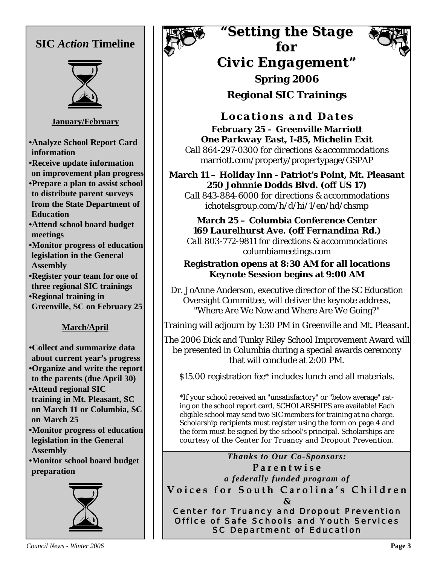# **SIC** *Action* **Timeline January/February •Analyze School Report Card information •Receive update information on improvement plan progress •Prepare a plan to assist school to distribute parent surveys from the State Department of Education •Attend school board budget meetings •Monitor progress of education legislation in the General Assembly •Register your team for one of three regional SIC trainings •Regional training in Greenville, SC on February 25 March/April •Collect and summarize data about current year's progress •Organize and write the report to the parents (due April 30) •Attend regional SIC training in Mt. Pleasant, SC on March 11 or Columbia, SC on March 25 •Monitor progress of education legislation in the General Assembly •Monitor school board budget preparation**





# *"Setting the Stage "Setting the Stage for*



# *Civic Engagement" Civic Engagement"* **Spring 2006**

**Regional SIC Trainings**

*Locations and Dates*

**February 25 – Greenville Marriott** *One Parkway East, I-85, Michelin Exit Call 864-297-0300 for directions & accommodations* marriott.com/property/propertypage/GSPAP

**March 11 – Holiday Inn - Patriot's Point, Mt. Pleasant** *250 Johnnie Dodds Blvd. (off US 17) Call 843-884-6000 for directions & accommodations* ichotelsgroup.com/h/d/hi/1/en/hd/chsmp

**March 25 – Columbia Conference Center** *169 Laurelhurst Ave. (off Fernandina Rd.) Call 803-772-9811 for directions & accommodations* columbiameetings.com

#### **Registration opens at 8:30 AM for all locations Keynote Session begins at 9:00 AM**

Dr. JoAnne Anderson, executive director of the SC Education Oversight Committee, will deliver the keynote address, "Where Are We Now and Where Are We Going?"

Training will adjourn by 1:30 PM in Greenville and Mt. Pleasant.

The 2006 Dick and Tunky Riley School Improvement Award will be presented in Columbia during a special awards ceremony that will conclude at 2:00 PM.

\$15.00 registration fee\* includes lunch and all materials.

\*If your school received an "unsatisfactory" or "below average" rating on the school report card, SCHOLARSHIPS are available! Each eligible school may send two SIC members for training at no charge. Scholarship recipients must register using the form on page 4 and the form must be signed by the school's principal. Scholarships are courtesy of the Center for Truancy and Dropout Prevention.

*Thanks to Our Co-Sponsors:* **Parentwise** *a federally funded program of* **Voices for South Carolina's Children**

**& Center for Truancy and Dropout Prevention** Office of Safe Schools and Youth Services **SC Department of Education**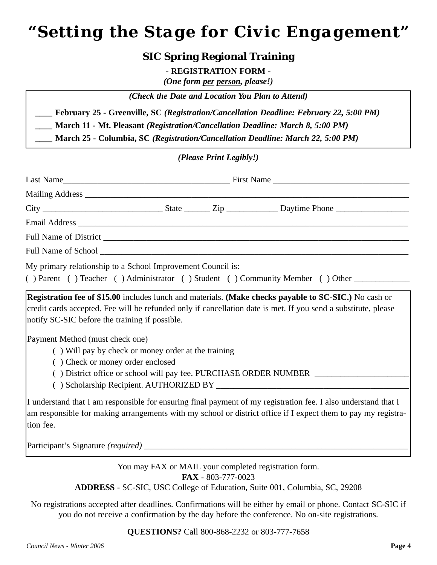# *"Setting the Stage for Civic Engagement"*

#### **SIC Spring Regional Training**

**- REGISTRATION FORM -**

*(One form per person, please!)*

*(Check the Date and Location You Plan to Attend)*

*\_\_\_\_* **February 25 - Greenville, SC** *(Registration/Cancellation Deadline: February 22, 5:00 PM) \_\_\_\_* **March 11 - Mt. Pleasant** *(Registration/Cancellation Deadline: March 8, 5:00 PM) \_\_\_\_* **March 25 - Columbia, SC** *(Registration/Cancellation Deadline: March 22, 5:00 PM)*

#### *(Please Print Legibly!)*

|                                                                                                                                                                                                                                                                                                                                                                                                                                                                                             |  |  | Last Name |
|---------------------------------------------------------------------------------------------------------------------------------------------------------------------------------------------------------------------------------------------------------------------------------------------------------------------------------------------------------------------------------------------------------------------------------------------------------------------------------------------|--|--|-----------|
|                                                                                                                                                                                                                                                                                                                                                                                                                                                                                             |  |  |           |
|                                                                                                                                                                                                                                                                                                                                                                                                                                                                                             |  |  |           |
|                                                                                                                                                                                                                                                                                                                                                                                                                                                                                             |  |  |           |
|                                                                                                                                                                                                                                                                                                                                                                                                                                                                                             |  |  |           |
|                                                                                                                                                                                                                                                                                                                                                                                                                                                                                             |  |  |           |
| My primary relationship to a School Improvement Council is:<br>() Parent () Teacher () Administrator () Student () Community Member () Other                                                                                                                                                                                                                                                                                                                                                |  |  |           |
| Registration fee of \$15.00 includes lunch and materials. (Make checks payable to SC-SIC.) No cash or<br>credit cards accepted. Fee will be refunded only if cancellation date is met. If you send a substitute, please<br>notify SC-SIC before the training if possible.<br>Payment Method (must check one)<br>() Will pay by check or money order at the training<br>() Check or money order enclosed<br>() District office or school will pay fee. PURCHASE ORDER NUMBER _______________ |  |  |           |
|                                                                                                                                                                                                                                                                                                                                                                                                                                                                                             |  |  |           |
| I understand that I am responsible for ensuring final payment of my registration fee. I also understand that I<br>am responsible for making arrangements with my school or district office if I expect them to pay my registra-<br>tion fee.                                                                                                                                                                                                                                                |  |  |           |
|                                                                                                                                                                                                                                                                                                                                                                                                                                                                                             |  |  |           |

You may FAX or MAIL your completed registration form. **FAX** - 803-777-0023 **ADDRESS** - SC-SIC, USC College of Education, Suite 001, Columbia, SC, 29208

No registrations accepted after deadlines. Confirmations will be either by email or phone. Contact SC-SIC if you do not receive a confirmation by the day before the conference. No on-site registrations.

**QUESTIONS?** Call 800-868-2232 or 803-777-7658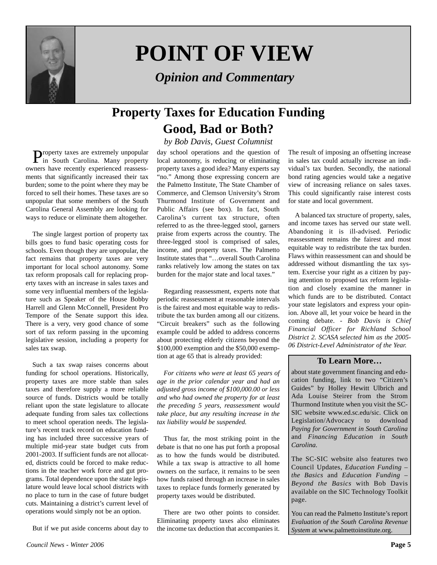

# **POINT OF VIEW**

*Opinion and Commentary*

# **Property Taxes for Education Funding Good, Bad or Both?**

*by Bob Davis, Guest Columnist*

Property taxes are extremely unpopular in South Carolina. Many property owners have recently experienced reassessments that significantly increased their tax burden; some to the point where they may be forced to sell their homes. These taxes are so unpopular that some members of the South Carolina General Assembly are looking for ways to reduce or eliminate them altogether.

The single largest portion of property tax bills goes to fund basic operating costs for schools. Even though they are unpopular, the fact remains that property taxes are very important for local school autonomy. Some tax reform proposals call for replacing property taxes with an increase in sales taxes and some very influential members of the legislature such as Speaker of the House Bobby Harrell and Glenn McConnell, President Pro Tempore of the Senate support this idea. There is a very, very good chance of some sort of tax reform passing in the upcoming legislative session, including a property for sales tax swap.

Such a tax swap raises concerns about funding for school operations. Historically, property taxes are more stable than sales taxes and therefore supply a more reliable source of funds. Districts would be totally reliant upon the state legislature to allocate adequate funding from sales tax collections to meet school operation needs. The legislature's recent track record on education funding has included three successive years of multiple mid-year state budget cuts from 2001-2003. If sufficient funds are not allocated, districts could be forced to make reductions in the teacher work force and gut programs. Total dependence upon the state legislature would leave local school districts with no place to turn in the case of future budget cuts. Maintaining a district's current level of operations would simply not be an option.

But if we put aside concerns about day to

day school operations and the question of local autonomy, is reducing or eliminating property taxes a good idea? Many experts say "no." Among those expressing concern are the Palmetto Institute, The State Chamber of Commerce, and Clemson University's Strom Thurmond Institute of Government and Public Affairs (see box). In fact, South Carolina's current tax structure, often referred to as the three-legged stool, garners praise from experts across the country. The three-legged stool is comprised of sales, income, and property taxes. The Palmetto Institute states that "…overall South Carolina ranks relatively low among the states on tax burden for the major state and local taxes."

Regarding reassessment, experts note that periodic reassessment at reasonable intervals is the fairest and most equitable way to redistribute the tax burden among all our citizens. "Circuit breakers" such as the following example could be added to address concerns about protecting elderly citizens beyond the \$100,000 exemption and the \$50,000 exemption at age 65 that is already provided:

*For citizens who were at least 65 years of age in the prior calendar year and had an adjusted gross income of \$100,000.00 or less and who had owned the property for at least the preceding 5 years, reassessment would take place, but any resulting increase in the tax liability would be suspended.*

Thus far, the most striking point in the debate is that no one has put forth a proposal as to how the funds would be distributed. While a tax swap is attractive to all home owners on the surface, it remains to be seen how funds raised through an increase in sales taxes to replace funds formerly generated by property taxes would be distributed.

There are two other points to consider. Eliminating property taxes also eliminates the income tax deduction that accompanies it. The result of imposing an offsetting increase in sales tax could actually increase an individual's tax burden. Secondly, the national bond rating agencies would take a negative view of increasing reliance on sales taxes. This could significantly raise interest costs for state and local government.

A balanced tax structure of property, sales, and income taxes has served our state well. Abandoning it is ill-advised. Periodic reassessment remains the fairest and most equitable way to redistribute the tax burden. Flaws within reassessment can and should be addressed without dismantling the tax system. Exercise your right as a citizen by paying attention to proposed tax reform legislation and closely examine the manner in which funds are to be distributed. Contact your state legislators and express your opinion. Above all, let your voice be heard in the coming debate. - *Bob Davis is Chief Financial Officer for Richland School District 2. SCASA selected him as the 2005- 06 District-Level Administrator of the Year.*

#### **To Learn More…**

about state government financing and education funding, link to two "Citizen's Guides" by Holley Hewitt Ulbrich and Ada Louise Steirer from the Strom Thurmond Institute when you visit the SC-SIC website www.ed.sc.edu/sic. Click on Legislation/Advocacy to download *Paying for Government in South Carolina* and *Financing Education in South Carolina.*

The SC-SIC website also features two Council Updates, *Education Funding – the Basics* and *Education Funding – Beyond the Basics* with Bob Davis available on the SIC Technology Toolkit page.

You can read the Palmetto Institute's report *Evaluation of the South Carolina Revenue System* at www.palmettoinstitute.org.